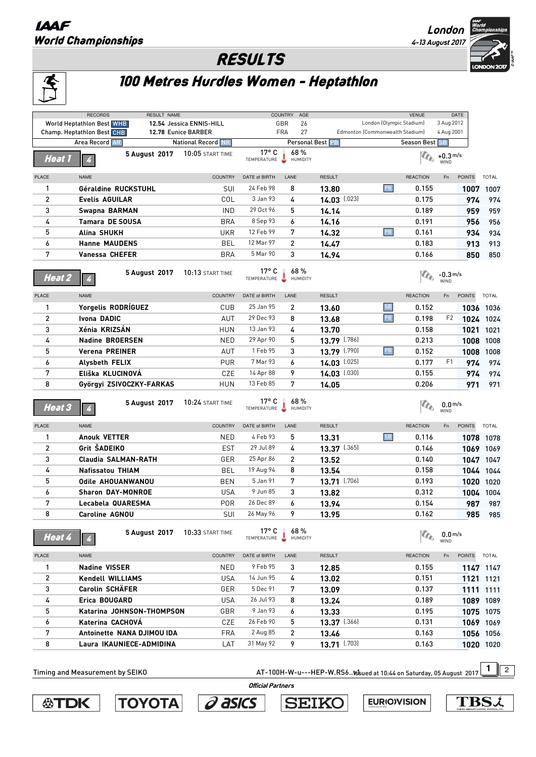## **IAAF** World Championships



## RESULTS

## 100 Metres Hurdles Women - Heptathlon

|                                                                                                                              | <b>World Heptathlon Best WHB</b><br>Champ. Heptathlon Best CHB<br>Area Record AR | 12.54 Jessica ENNIS-HILL<br>12.78 Eunice BARBER |                                        | GBR<br>26<br>27<br><b>FRA</b> |                | London (Olympic Stadium)<br>Edmonton (Commonwealth Stadium) |                 | 3 Aug 2012<br>4 Aug 2001           |               |              |
|------------------------------------------------------------------------------------------------------------------------------|----------------------------------------------------------------------------------|-------------------------------------------------|----------------------------------------|-------------------------------|----------------|-------------------------------------------------------------|-----------------|------------------------------------|---------------|--------------|
|                                                                                                                              |                                                                                  |                                                 |                                        |                               |                |                                                             |                 |                                    |               |              |
|                                                                                                                              |                                                                                  |                                                 |                                        |                               |                |                                                             |                 |                                    |               |              |
|                                                                                                                              |                                                                                  | <b>National Record NR</b>                       |                                        | Personal Best PB              |                |                                                             | Season Best SB  |                                    |               |              |
| Heat 1                                                                                                                       | 5 August 2017                                                                    | <b>10:05 START TIME</b>                         | $17^{\circ}$ C<br>TEMPERATURE          | 68%<br>HUMIDITY               |                |                                                             |                 | $\mathbb{C}_{\mathbb{C}}$ +0.3 m/s |               |              |
| PLACE                                                                                                                        | <b>NAME</b>                                                                      | <b>COUNTRY</b>                                  | DATE of BIRTH                          | LANE                          | <b>RESULT</b>  |                                                             | <b>REACTION</b> | Fn                                 | <b>POINTS</b> | <b>TOTAL</b> |
| 1                                                                                                                            | Géraldine RUCKSTUHL                                                              | SUI                                             | 24 Feb 98                              | 8                             | 13,80          | PB                                                          | 0.155           |                                    |               | 1007 1007    |
| 2                                                                                                                            | <b>Evelis AGUILAR</b>                                                            | COL                                             | 3 Jan 93                               | 4                             | 14.03 [.023]   |                                                             | 0.175           |                                    | 974           | 974          |
| 3                                                                                                                            | Swapna BARMAN                                                                    | <b>IND</b>                                      | 29 Oct 96                              | 5                             | 14.14          |                                                             | 0.189           |                                    | 959           | 959          |
| 4                                                                                                                            | <b>Tamara DE SOUSA</b>                                                           | <b>BRA</b>                                      | 8 Sep 93                               | 6                             | 14.16          |                                                             | 0.191           |                                    | 956           | 956          |
| 5                                                                                                                            | Alina SHUKH                                                                      | <b>UKR</b>                                      | 12 Feb 99                              | 7                             | 14.32          | PB                                                          | 0.161           |                                    | 934           | 934          |
| 6                                                                                                                            | <b>Hanne MAUDENS</b>                                                             | BEL                                             | 12 Mar 97                              | 2                             | 14.47          |                                                             | 0.183           |                                    | 913           | 913          |
| 7                                                                                                                            | <b>Vanessa CHEFER</b>                                                            | <b>BRA</b>                                      | 5 Mar 90                               | 3                             | 14.94          |                                                             | 0.166           |                                    | 850           | 850          |
| <b>Heat 2</b>                                                                                                                | 5 August 2017                                                                    | 10:13 START TIME                                | $17^{\circ}$ C<br>TEMPERATURE HUMIDITY | 68 %                          |                |                                                             |                 | $C_{\odot}$ -0.3 m/s               |               |              |
| <b>PLACE</b>                                                                                                                 | <b>NAME</b>                                                                      | <b>COUNTRY</b>                                  | DATE of BIRTH                          | LANE                          | <b>RESULT</b>  |                                                             | <b>REACTION</b> | Fn                                 | <b>POINTS</b> | <b>TOTAL</b> |
| 1                                                                                                                            | Yorgelis RODRÍGUEZ                                                               | <b>CUB</b>                                      | 25 Jan 95                              | 2                             | 13.60          | SB                                                          | 0.152           |                                    |               | 1036 1036    |
| 2                                                                                                                            | Ivona DADIC                                                                      | AUT                                             | 29 Dec 93                              | 8                             | 13.68          | $\overline{\mathsf{PB}}$                                    | 0.198           | F <sub>2</sub>                     |               | 1024 1024    |
| 3                                                                                                                            | Xénia KRIZSÁN                                                                    | <b>HUN</b>                                      | 13 Jan 93                              | 4                             | 13.70          |                                                             | 0.158           |                                    |               | 1021 1021    |
| 4                                                                                                                            | <b>Nadine BROERSEN</b>                                                           | <b>NED</b>                                      | 29 Apr 90                              | 5                             | 13.79 [.786]   |                                                             | 0.213           |                                    |               | 1008 1008    |
| 5                                                                                                                            | <b>Verena PREINER</b>                                                            | AUT                                             | 1 Feb 95                               | 3                             | 13.79 [.790]   | PB                                                          | 0.152           |                                    |               | 1008 1008    |
| 6                                                                                                                            | Alysbeth FELIX                                                                   | <b>PUR</b>                                      | 7 Mar 93                               | 6                             | $14.03$ [.025] |                                                             | 0.177           | F1                                 | 974           | 974          |
| 7                                                                                                                            | Eliška KLUCINOVÁ                                                                 | CZE                                             | 14 Apr 88                              | 9                             | 14.03 [.030]   |                                                             | 0.155           |                                    | 974           | 974          |
| 8                                                                                                                            | Györgyi ZSIVOCZKY-FARKAS                                                         | <b>HUN</b>                                      | 13 Feb 85                              | 7                             | 14.05          |                                                             | 0.206           |                                    | 971           | 971          |
| $Heat$ $3$                                                                                                                   | 5 August 2017                                                                    | 10:24 START TIME                                | $17^{\circ}$ C<br>TEMPERATURE HUMIDITY | 68%                           |                |                                                             | $a_{b}$         | 0.0 <sub>ms</sub><br>WIND          |               |              |
| <b>PLACE</b>                                                                                                                 | <b>NAME</b>                                                                      | COUNTRY                                         | DATE of BIRTH                          | LANE                          | <b>RESULT</b>  |                                                             | <b>REACTION</b> | Fn                                 | <b>POINTS</b> | <b>TOTAL</b> |
| 1                                                                                                                            | Anouk VETTER                                                                     | <b>NED</b>                                      | 4 Feb 93                               | 5                             | 13.31          | ${\sf SB}$                                                  | 0.116           |                                    |               | 1078 1078    |
| $\overline{c}$                                                                                                               | Grit SADEIKO                                                                     | <b>EST</b>                                      | 29 Jul 89                              | 4                             | 13.37 [.365]   |                                                             | 0.146           |                                    |               | 1069 1069    |
| 3                                                                                                                            | <b>Claudia SALMAN-RATH</b>                                                       | GER                                             | 25 Apr 86                              | 2                             | 13.52          |                                                             | 0.140           |                                    |               | 1047 1047    |
| 4                                                                                                                            | <b>Nafissatou THIAM</b>                                                          | BEL                                             | 19 Aug 94                              | 8                             | 13.54          |                                                             | 0.158           |                                    |               | 1044 1044    |
| 5                                                                                                                            | <b>Odile AHOUANWANOU</b>                                                         | <b>BEN</b>                                      | 5 Jan 91                               | 7                             | 13.71 [.706]   |                                                             | 0.193           |                                    |               | 1020 1020    |
| 6                                                                                                                            | <b>Sharon DAY-MONROE</b>                                                         | <b>USA</b>                                      | 9 Jun 85                               | 3                             | 13.82          |                                                             | 0.312           |                                    |               | 1004 1004    |
| 7                                                                                                                            | Lecabela QUARESMA                                                                | <b>POR</b>                                      | 26 Dec 89                              | 6                             | 13.94          |                                                             | 0.154           |                                    | 987           | 987          |
| 8                                                                                                                            | Caroline AGNOU                                                                   | SUI                                             | 26 May 96                              | 9                             | 13.95          |                                                             | 0.162           |                                    |               | 985 985      |
| <b>Heat 4</b>                                                                                                                | 5 August 2017                                                                    | 10:33 START TIME                                | $17^{\circ}$ C<br>TEMPERATURE HUMIDITY | 68 %                          |                |                                                             | $a_{\rm b}$     | 0.0 <sub>ms</sub><br>WIND          |               |              |
| PLACE                                                                                                                        | NAME                                                                             | <b>COUNTRY</b>                                  | DATE of BIRTH                          | LANE                          | <b>RESULT</b>  |                                                             | <b>REACTION</b> | Fn                                 | POINTS TOTAL  |              |
| 1                                                                                                                            | <b>Nadine VISSER</b>                                                             | <b>NED</b>                                      | 9 Feb 95                               | 3                             | 12.85          |                                                             | 0.155           |                                    |               | 1147 1147    |
| $\overline{2}$                                                                                                               | Kendell WILLIAMS                                                                 | USA                                             | 14 Jun 95                              | 4                             | 13.02          |                                                             | 0.151           |                                    |               | 1121 1121    |
| 3                                                                                                                            | Carolin SCHÄFER                                                                  | GER                                             | 5 Dec 91                               | 7                             | 13.09          |                                                             | 0.137           |                                    |               | 1111 1111    |
| 4                                                                                                                            | Erica BOUGARD                                                                    | <b>USA</b>                                      | 26 Jul 93                              | 8                             | 13.24          |                                                             | 0.189           |                                    |               | 1089 1089    |
| 5                                                                                                                            | Katarina JOHNSON-THOMPSON                                                        | GBR                                             | 9 Jan 93                               | 6                             | 13.33          |                                                             | 0.195           |                                    |               | 1075 1075    |
| 6                                                                                                                            | Katerina CACHOVÁ                                                                 | CZE                                             | 26 Feb 90                              | 5                             | 13.37 [.366]   |                                                             | 0.131           |                                    |               | 1069 1069    |
| 7                                                                                                                            | Antoinette NANA DJIMOU IDA                                                       | FRA                                             | 2 Aug 85                               | 2                             | 13.46          |                                                             | 0.163           |                                    |               | 1056 1056    |
| 8                                                                                                                            | Laura IKAUNIECE-ADMIDINA                                                         | LAT                                             | 31 May 92                              | 9                             | $13.71$ [.703] |                                                             | 0.163           |                                    |               | 1020 1020    |
| 1<br>$\overline{2}$<br>Timing and Measurement by SEIKO<br>AT-100H-W-u---HEP-W.RS616bued at 10:44 on Saturday, 05 August 2017 |                                                                                  |                                                 |                                        |                               |                |                                                             |                 |                                    |               |              |







 **Official Partners** 

**SEIKO** 

**EURIOVISION** 

**TBS**